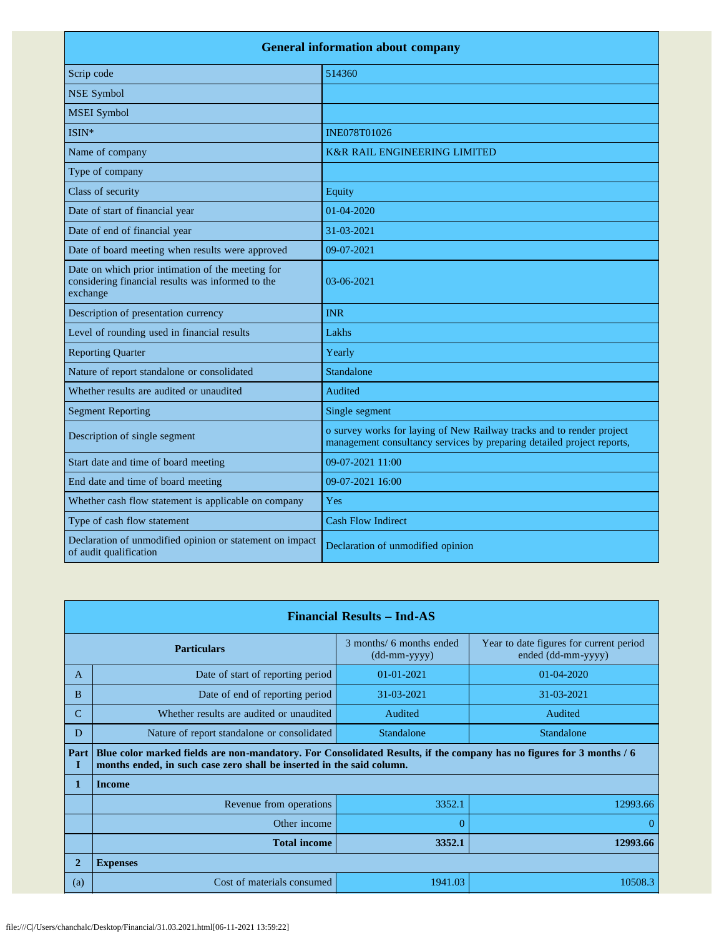| <b>General information about company</b>                                                                           |                                                                                                                                                 |  |  |
|--------------------------------------------------------------------------------------------------------------------|-------------------------------------------------------------------------------------------------------------------------------------------------|--|--|
| Scrip code                                                                                                         | 514360                                                                                                                                          |  |  |
| <b>NSE Symbol</b>                                                                                                  |                                                                                                                                                 |  |  |
| <b>MSEI</b> Symbol                                                                                                 |                                                                                                                                                 |  |  |
| ISIN*                                                                                                              | <b>INE078T01026</b>                                                                                                                             |  |  |
| Name of company                                                                                                    | <b>K&amp;R RAIL ENGINEERING LIMITED</b>                                                                                                         |  |  |
| Type of company                                                                                                    |                                                                                                                                                 |  |  |
| Class of security                                                                                                  | Equity                                                                                                                                          |  |  |
| Date of start of financial year                                                                                    | 01-04-2020                                                                                                                                      |  |  |
| Date of end of financial year                                                                                      | 31-03-2021                                                                                                                                      |  |  |
| Date of board meeting when results were approved                                                                   | 09-07-2021                                                                                                                                      |  |  |
| Date on which prior intimation of the meeting for<br>considering financial results was informed to the<br>exchange | $03-06-2021$                                                                                                                                    |  |  |
| Description of presentation currency                                                                               | <b>INR</b>                                                                                                                                      |  |  |
| Level of rounding used in financial results                                                                        | Lakhs                                                                                                                                           |  |  |
| <b>Reporting Quarter</b>                                                                                           | Yearly                                                                                                                                          |  |  |
| Nature of report standalone or consolidated                                                                        | Standalone                                                                                                                                      |  |  |
| Whether results are audited or unaudited                                                                           | Audited                                                                                                                                         |  |  |
| <b>Segment Reporting</b>                                                                                           | Single segment                                                                                                                                  |  |  |
| Description of single segment                                                                                      | o survey works for laying of New Railway tracks and to render project<br>management consultancy services by preparing detailed project reports, |  |  |
| Start date and time of board meeting                                                                               | 09-07-2021 11:00                                                                                                                                |  |  |
| End date and time of board meeting                                                                                 | 09-07-2021 16:00                                                                                                                                |  |  |
| Whether cash flow statement is applicable on company                                                               | Yes                                                                                                                                             |  |  |
| Type of cash flow statement                                                                                        | <b>Cash Flow Indirect</b>                                                                                                                       |  |  |
| Declaration of unmodified opinion or statement on impact<br>of audit qualification                                 | Declaration of unmodified opinion                                                                                                               |  |  |

| <b>Financial Results – Ind-AS</b> |                                                                                                                                                                                               |                                            |                                                               |
|-----------------------------------|-----------------------------------------------------------------------------------------------------------------------------------------------------------------------------------------------|--------------------------------------------|---------------------------------------------------------------|
|                                   | <b>Particulars</b>                                                                                                                                                                            | 3 months/ 6 months ended<br>$(dd-mm-yyyy)$ | Year to date figures for current period<br>ended (dd-mm-yyyy) |
| $\mathsf{A}$                      | Date of start of reporting period                                                                                                                                                             | 01-01-2021                                 | $01 - 04 - 2020$                                              |
| B                                 | Date of end of reporting period                                                                                                                                                               | 31-03-2021                                 | 31-03-2021                                                    |
| $\mathcal{C}$                     | Whether results are audited or unaudited                                                                                                                                                      | Audited                                    | Audited                                                       |
| D                                 | Nature of report standalone or consolidated                                                                                                                                                   | Standalone                                 | Standalone                                                    |
| Part<br>Ι                         | Blue color marked fields are non-mandatory. For Consolidated Results, if the company has no figures for 3 months / 6<br>months ended, in such case zero shall be inserted in the said column. |                                            |                                                               |
| 1                                 | <b>Income</b>                                                                                                                                                                                 |                                            |                                                               |
|                                   | Revenue from operations                                                                                                                                                                       | 3352.1                                     | 12993.66                                                      |
|                                   | Other income                                                                                                                                                                                  |                                            | 0                                                             |
|                                   | <b>Total income</b>                                                                                                                                                                           | 3352.1                                     | 12993.66                                                      |
| $\mathbf{2}$                      | <b>Expenses</b>                                                                                                                                                                               |                                            |                                                               |
| (a)                               | Cost of materials consumed                                                                                                                                                                    | 1941.03                                    | 10508.3                                                       |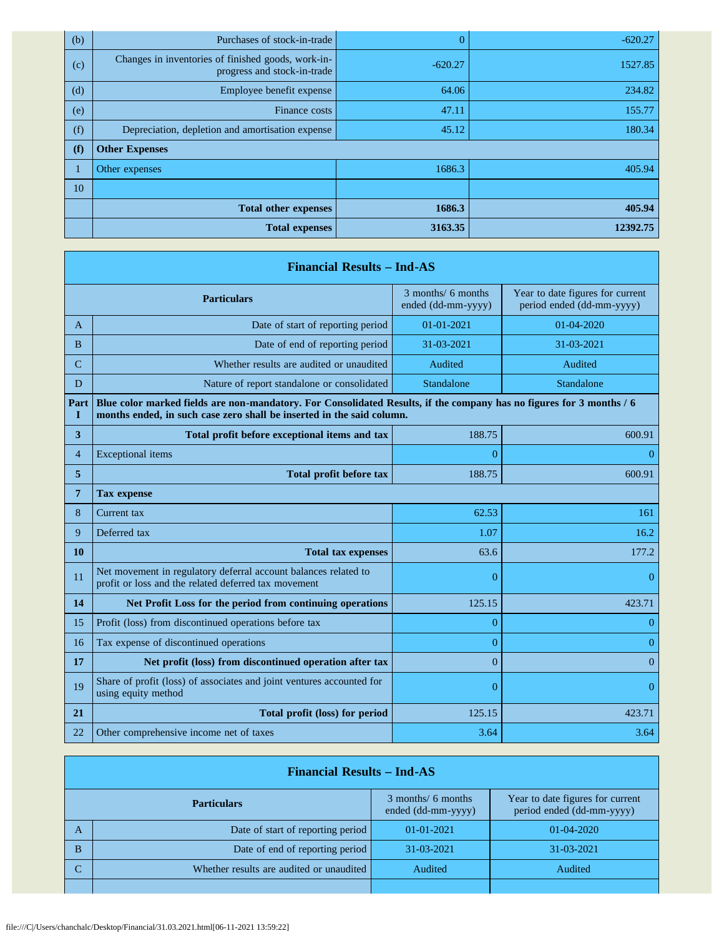| (b) | Purchases of stock-in-trade                                                       |           | $-620.27$ |
|-----|-----------------------------------------------------------------------------------|-----------|-----------|
| (c) | Changes in inventories of finished goods, work-in-<br>progress and stock-in-trade | $-620.27$ | 1527.85   |
| (d) | Employee benefit expense                                                          | 64.06     | 234.82    |
| (e) | Finance costs                                                                     | 47.11     | 155.77    |
| (f) | Depreciation, depletion and amortisation expense                                  | 45.12     | 180.34    |
| (f) | <b>Other Expenses</b>                                                             |           |           |
| 1   | Other expenses                                                                    | 1686.3    | 405.94    |
| 10  |                                                                                   |           |           |
|     | <b>Total other expenses</b>                                                       | 1686.3    | 405.94    |
|     | <b>Total expenses</b>                                                             | 3163.35   | 12392.75  |

|               | <b>Financial Results - Ind-AS</b>                                                                                                                                                             |                                          |                                                               |  |
|---------------|-----------------------------------------------------------------------------------------------------------------------------------------------------------------------------------------------|------------------------------------------|---------------------------------------------------------------|--|
|               | <b>Particulars</b>                                                                                                                                                                            | 3 months/ 6 months<br>ended (dd-mm-yyyy) | Year to date figures for current<br>period ended (dd-mm-yyyy) |  |
| A             | Date of start of reporting period                                                                                                                                                             | $01-01-2021$                             | $01 - 04 - 2020$                                              |  |
| B             | Date of end of reporting period                                                                                                                                                               | 31-03-2021                               | 31-03-2021                                                    |  |
| $\mathcal{C}$ | Whether results are audited or unaudited                                                                                                                                                      | Audited                                  | Audited                                                       |  |
| D             | Nature of report standalone or consolidated                                                                                                                                                   | Standalone                               | Standalone                                                    |  |
| Part<br>Т     | Blue color marked fields are non-mandatory. For Consolidated Results, if the company has no figures for 3 months / 6<br>months ended, in such case zero shall be inserted in the said column. |                                          |                                                               |  |
| 3             | Total profit before exceptional items and tax                                                                                                                                                 | 188.75                                   | 600.91                                                        |  |
| 4             | <b>Exceptional</b> items                                                                                                                                                                      | 0                                        | $\theta$                                                      |  |
| 5             | Total profit before tax                                                                                                                                                                       | 188.75                                   | 600.91                                                        |  |
| 7             | Tax expense                                                                                                                                                                                   |                                          |                                                               |  |
| 8             | Current tax                                                                                                                                                                                   | 62.53                                    | 161                                                           |  |
| 9             | Deferred tax                                                                                                                                                                                  | 1.07                                     | 16.2                                                          |  |
| 10            | <b>Total tax expenses</b>                                                                                                                                                                     | 63.6                                     | 177.2                                                         |  |
| 11            | Net movement in regulatory deferral account balances related to<br>profit or loss and the related deferred tax movement                                                                       | $\overline{0}$                           | $\overline{0}$                                                |  |
| 14            | Net Profit Loss for the period from continuing operations                                                                                                                                     | 125.15                                   | 423.71                                                        |  |
| 15            | Profit (loss) from discontinued operations before tax                                                                                                                                         | $\overline{0}$                           | $\theta$                                                      |  |
| 16            | Tax expense of discontinued operations                                                                                                                                                        | $\overline{0}$                           | $\overline{0}$                                                |  |
| 17            | Net profit (loss) from discontinued operation after tax                                                                                                                                       | $\overline{0}$                           | $\Omega$                                                      |  |
| 19            | Share of profit (loss) of associates and joint ventures accounted for<br>using equity method                                                                                                  | $\overline{0}$                           | $\overline{0}$                                                |  |
| 21            | Total profit (loss) for period                                                                                                                                                                | 125.15                                   | 423.71                                                        |  |
| 22            | Other comprehensive income net of taxes                                                                                                                                                       | 3.64                                     | 3.64                                                          |  |

|                    | <b>Financial Results – Ind-AS</b>        |                                          |                                                               |  |
|--------------------|------------------------------------------|------------------------------------------|---------------------------------------------------------------|--|
| <b>Particulars</b> |                                          | 3 months/ 6 months<br>ended (dd-mm-yyyy) | Year to date figures for current<br>period ended (dd-mm-yyyy) |  |
| A                  | Date of start of reporting period        | $01-01-2021$                             | $01-04-2020$                                                  |  |
| B                  | Date of end of reporting period          | 31-03-2021                               | 31-03-2021                                                    |  |
| C                  | Whether results are audited or unaudited | Audited                                  | Audited                                                       |  |
|                    |                                          |                                          |                                                               |  |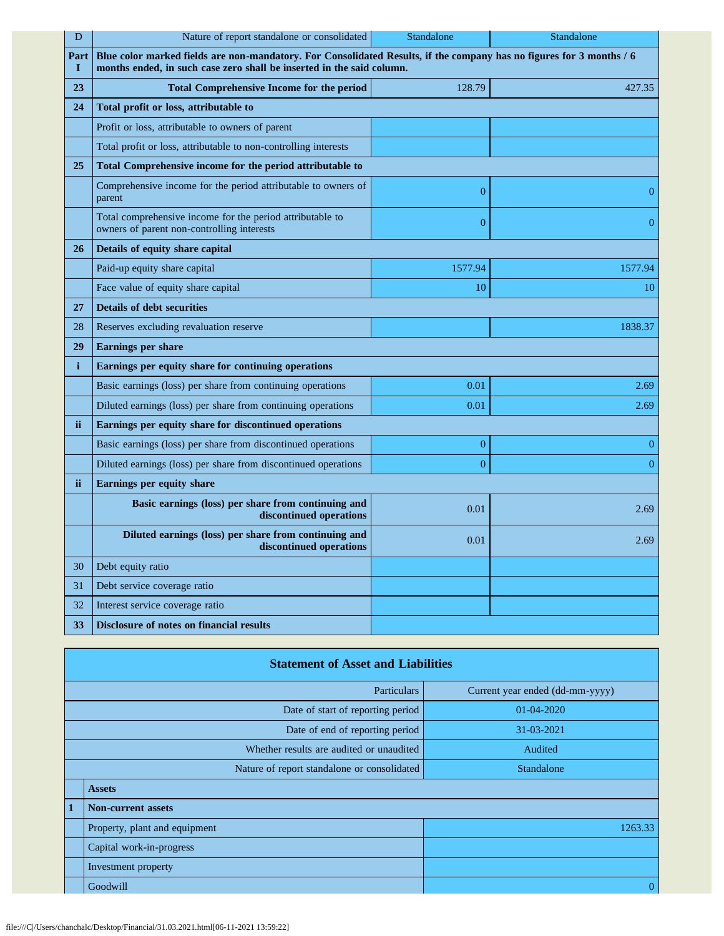| D         | Nature of report standalone or consolidated                                                                                                                                                   | Standalone       | Standalone     |
|-----------|-----------------------------------------------------------------------------------------------------------------------------------------------------------------------------------------------|------------------|----------------|
| Part<br>1 | Blue color marked fields are non-mandatory. For Consolidated Results, if the company has no figures for 3 months / 6<br>months ended, in such case zero shall be inserted in the said column. |                  |                |
| 23        | <b>Total Comprehensive Income for the period</b>                                                                                                                                              | 128.79           | 427.35         |
| 24        | Total profit or loss, attributable to                                                                                                                                                         |                  |                |
|           | Profit or loss, attributable to owners of parent                                                                                                                                              |                  |                |
|           | Total profit or loss, attributable to non-controlling interests                                                                                                                               |                  |                |
| 25        | Total Comprehensive income for the period attributable to                                                                                                                                     |                  |                |
|           | Comprehensive income for the period attributable to owners of<br>parent                                                                                                                       | $\overline{0}$   | $\theta$       |
|           | Total comprehensive income for the period attributable to<br>owners of parent non-controlling interests                                                                                       | $\overline{0}$   | $\theta$       |
| 26        | Details of equity share capital                                                                                                                                                               |                  |                |
|           | Paid-up equity share capital                                                                                                                                                                  | 1577.94          | 1577.94        |
|           | Face value of equity share capital                                                                                                                                                            | 10               | 10             |
| 27        | <b>Details of debt securities</b>                                                                                                                                                             |                  |                |
| 28        | Reserves excluding revaluation reserve<br>1838.37                                                                                                                                             |                  |                |
| 29        | <b>Earnings per share</b>                                                                                                                                                                     |                  |                |
| i         | Earnings per equity share for continuing operations                                                                                                                                           |                  |                |
|           | Basic earnings (loss) per share from continuing operations                                                                                                                                    | 0.01             | 2.69           |
|           | Diluted earnings (loss) per share from continuing operations                                                                                                                                  | 0.01             | 2.69           |
| <b>ii</b> | Earnings per equity share for discontinued operations                                                                                                                                         |                  |                |
|           | Basic earnings (loss) per share from discontinued operations                                                                                                                                  | $\boldsymbol{0}$ | $\theta$       |
|           | Diluted earnings (loss) per share from discontinued operations                                                                                                                                | $\overline{0}$   | $\overline{0}$ |
| ii.       | <b>Earnings per equity share</b>                                                                                                                                                              |                  |                |
|           | Basic earnings (loss) per share from continuing and<br>discontinued operations                                                                                                                | 0.01             | 2.69           |
|           | Diluted earnings (loss) per share from continuing and<br>discontinued operations                                                                                                              | 0.01             | 2.69           |
| 30        | Debt equity ratio                                                                                                                                                                             |                  |                |
| 31        | Debt service coverage ratio                                                                                                                                                                   |                  |                |
| 32        | Interest service coverage ratio                                                                                                                                                               |                  |                |
| 33        | Disclosure of notes on financial results                                                                                                                                                      |                  |                |

|                                          | <b>Statement of Asset and Liabilities</b>   |                                 |  |  |
|------------------------------------------|---------------------------------------------|---------------------------------|--|--|
|                                          | Particulars                                 | Current year ended (dd-mm-yyyy) |  |  |
|                                          | Date of start of reporting period           | $01 - 04 - 2020$                |  |  |
|                                          | Date of end of reporting period             | 31-03-2021                      |  |  |
| Whether results are audited or unaudited |                                             | Audited                         |  |  |
|                                          | Nature of report standalone or consolidated | Standalone                      |  |  |
|                                          | <b>Assets</b>                               |                                 |  |  |
| $\mathbf{1}$                             | <b>Non-current assets</b>                   |                                 |  |  |
|                                          | Property, plant and equipment               | 1263.33                         |  |  |
|                                          | Capital work-in-progress                    |                                 |  |  |
|                                          | Investment property                         |                                 |  |  |
|                                          | Goodwill                                    | $\Omega$                        |  |  |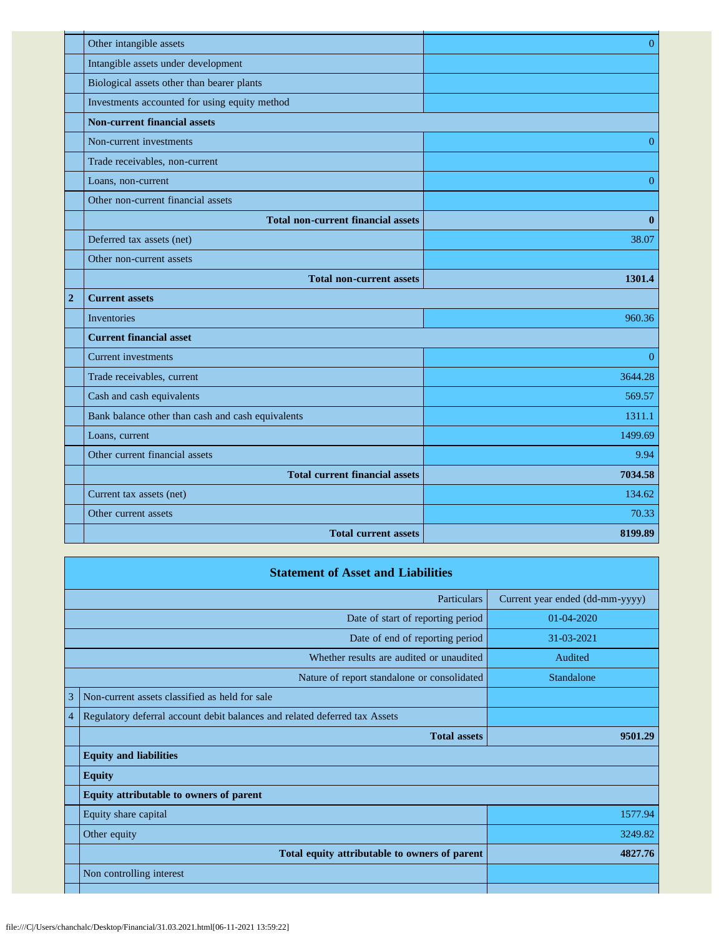|                | Other intangible assets                           | $\overline{0}$ |
|----------------|---------------------------------------------------|----------------|
|                | Intangible assets under development               |                |
|                | Biological assets other than bearer plants        |                |
|                | Investments accounted for using equity method     |                |
|                | <b>Non-current financial assets</b>               |                |
|                | Non-current investments                           | $\mathbf{0}$   |
|                | Trade receivables, non-current                    |                |
|                | Loans, non-current                                | $\overline{0}$ |
|                | Other non-current financial assets                |                |
|                | <b>Total non-current financial assets</b>         | $\bf{0}$       |
|                | Deferred tax assets (net)                         | 38.07          |
|                | Other non-current assets                          |                |
|                | <b>Total non-current assets</b>                   | 1301.4         |
| $\overline{2}$ | <b>Current assets</b>                             |                |
|                | Inventories                                       | 960.36         |
|                |                                                   |                |
|                | <b>Current financial asset</b>                    |                |
|                | Current investments                               | $\overline{0}$ |
|                | Trade receivables, current                        | 3644.28        |
|                | Cash and cash equivalents                         | 569.57         |
|                | Bank balance other than cash and cash equivalents | 1311.1         |
|                | Loans, current                                    | 1499.69        |
|                | Other current financial assets                    | 9.94           |
|                | <b>Total current financial assets</b>             | 7034.58        |
|                | Current tax assets (net)                          | 134.62         |
|                | Other current assets                              | 70.33          |
|                | <b>Total current assets</b>                       | 8199.89        |

|   | <b>Statement of Asset and Liabilities</b>                                  |                                 |
|---|----------------------------------------------------------------------------|---------------------------------|
|   | Particulars                                                                | Current year ended (dd-mm-yyyy) |
|   | Date of start of reporting period                                          | $01 - 04 - 2020$                |
|   | Date of end of reporting period                                            | 31-03-2021                      |
|   | Whether results are audited or unaudited                                   | Audited                         |
|   | Nature of report standalone or consolidated                                | <b>Standalone</b>               |
| 3 | Non-current assets classified as held for sale                             |                                 |
| 4 | Regulatory deferral account debit balances and related deferred tax Assets |                                 |
|   | <b>Total assets</b>                                                        | 9501.29                         |
|   | <b>Equity and liabilities</b>                                              |                                 |
|   | <b>Equity</b>                                                              |                                 |
|   | Equity attributable to owners of parent                                    |                                 |
|   | Equity share capital                                                       | 1577.94                         |
|   | Other equity                                                               | 3249.82                         |
|   | Total equity attributable to owners of parent                              | 4827.76                         |
|   | Non controlling interest                                                   |                                 |
|   |                                                                            |                                 |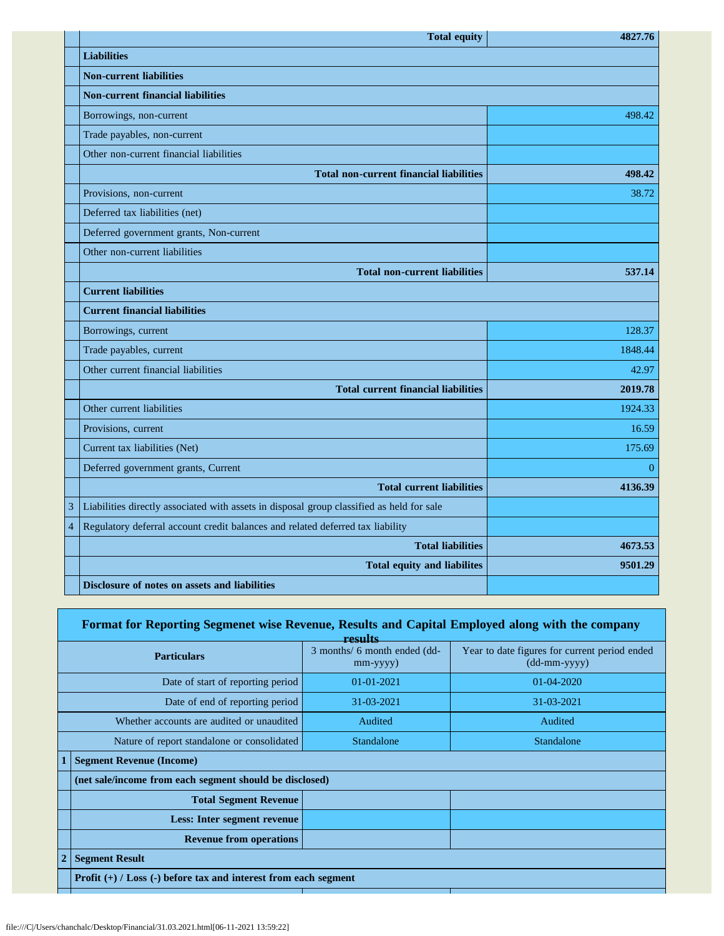|                | <b>Total equity</b>                                                                       | 4827.76  |
|----------------|-------------------------------------------------------------------------------------------|----------|
|                | <b>Liabilities</b>                                                                        |          |
|                | <b>Non-current liabilities</b>                                                            |          |
|                | <b>Non-current financial liabilities</b>                                                  |          |
|                | Borrowings, non-current                                                                   | 498.42   |
|                | Trade payables, non-current                                                               |          |
|                | Other non-current financial liabilities                                                   |          |
|                | <b>Total non-current financial liabilities</b>                                            | 498.42   |
|                | Provisions, non-current                                                                   | 38.72    |
|                | Deferred tax liabilities (net)                                                            |          |
|                | Deferred government grants, Non-current                                                   |          |
|                | Other non-current liabilities                                                             |          |
|                | <b>Total non-current liabilities</b>                                                      | 537.14   |
|                | <b>Current liabilities</b>                                                                |          |
|                | <b>Current financial liabilities</b>                                                      |          |
|                | Borrowings, current                                                                       | 128.37   |
|                | Trade payables, current                                                                   | 1848.44  |
|                | Other current financial liabilities                                                       | 42.97    |
|                | <b>Total current financial liabilities</b>                                                | 2019.78  |
|                | Other current liabilities                                                                 | 1924.33  |
|                | Provisions, current                                                                       | 16.59    |
|                | Current tax liabilities (Net)                                                             | 175.69   |
|                | Deferred government grants, Current                                                       | $\Omega$ |
|                | <b>Total current liabilities</b>                                                          | 4136.39  |
| 3              | Liabilities directly associated with assets in disposal group classified as held for sale |          |
| $\overline{4}$ | Regulatory deferral account credit balances and related deferred tax liability            |          |
|                | <b>Total liabilities</b>                                                                  | 4673.53  |
|                | <b>Total equity and liabilites</b>                                                        | 9501.29  |
|                | Disclosure of notes on assets and liabilities                                             |          |

## **Format for Reporting Segmenet wise Revenue, Results and Capital Employed along with the company**

|                                             | recults                                                             |                                                |                                                                 |  |
|---------------------------------------------|---------------------------------------------------------------------|------------------------------------------------|-----------------------------------------------------------------|--|
|                                             | <b>Particulars</b>                                                  | 3 months/ 6 month ended (dd-<br>$mm$ -yyyy $)$ | Year to date figures for current period ended<br>$(dd-mm-yyyy)$ |  |
| Date of start of reporting period           |                                                                     | $01-01-2021$                                   | 01-04-2020                                                      |  |
| Date of end of reporting period             |                                                                     | 31-03-2021                                     | 31-03-2021                                                      |  |
| Whether accounts are audited or unaudited   |                                                                     | Audited                                        | Audited                                                         |  |
| Nature of report standalone or consolidated |                                                                     | <b>Standalone</b>                              | <b>Standalone</b>                                               |  |
|                                             | <b>Segment Revenue (Income)</b>                                     |                                                |                                                                 |  |
|                                             | (net sale/income from each segment should be disclosed)             |                                                |                                                                 |  |
|                                             | <b>Total Segment Revenue</b>                                        |                                                |                                                                 |  |
|                                             | Less: Inter segment revenue                                         |                                                |                                                                 |  |
|                                             | <b>Revenue from operations</b>                                      |                                                |                                                                 |  |
| $\overline{2}$                              | <b>Segment Result</b>                                               |                                                |                                                                 |  |
|                                             | Profit $(+)$ / Loss $(-)$ before tax and interest from each segment |                                                |                                                                 |  |
|                                             |                                                                     |                                                |                                                                 |  |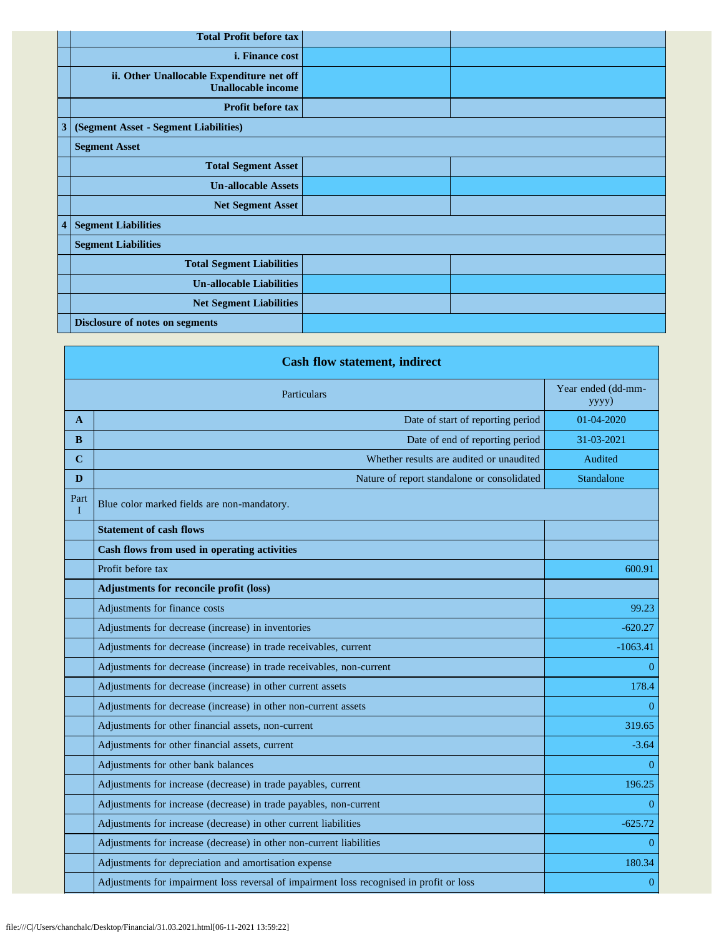|                         | <b>Total Profit before tax</b>                                         |  |
|-------------------------|------------------------------------------------------------------------|--|
|                         | <i>i.</i> Finance cost                                                 |  |
|                         | ii. Other Unallocable Expenditure net off<br><b>Unallocable income</b> |  |
|                         | Profit before tax                                                      |  |
| $\mathbf{3}$            | (Segment Asset - Segment Liabilities)                                  |  |
|                         | <b>Segment Asset</b>                                                   |  |
|                         | <b>Total Segment Asset</b>                                             |  |
|                         | <b>Un-allocable Assets</b>                                             |  |
|                         | <b>Net Segment Asset</b>                                               |  |
| $\overline{\mathbf{4}}$ | <b>Segment Liabilities</b>                                             |  |
|                         | <b>Segment Liabilities</b>                                             |  |
|                         | <b>Total Segment Liabilities</b>                                       |  |
|                         | <b>Un-allocable Liabilities</b>                                        |  |
|                         | <b>Net Segment Liabilities</b>                                         |  |
|                         | <b>Disclosure of notes on segments</b>                                 |  |

| <b>Cash flow statement, indirect</b> |                                                                                          |                             |  |  |
|--------------------------------------|------------------------------------------------------------------------------------------|-----------------------------|--|--|
| Particulars                          |                                                                                          | Year ended (dd-mm-<br>yyyy) |  |  |
| $\mathbf{A}$                         | Date of start of reporting period                                                        | $01 - 04 - 2020$            |  |  |
| <sub>B</sub>                         | Date of end of reporting period                                                          | 31-03-2021                  |  |  |
| $\mathbf C$                          | Whether results are audited or unaudited                                                 | Audited                     |  |  |
| D                                    | Nature of report standalone or consolidated                                              | Standalone                  |  |  |
| Part<br>$\mathbf I$                  | Blue color marked fields are non-mandatory.                                              |                             |  |  |
|                                      | <b>Statement of cash flows</b>                                                           |                             |  |  |
|                                      | Cash flows from used in operating activities                                             |                             |  |  |
|                                      | Profit before tax                                                                        | 600.91                      |  |  |
|                                      | <b>Adjustments for reconcile profit (loss)</b>                                           |                             |  |  |
|                                      | Adjustments for finance costs                                                            | 99.23                       |  |  |
|                                      | Adjustments for decrease (increase) in inventories                                       | $-620.27$                   |  |  |
|                                      | Adjustments for decrease (increase) in trade receivables, current                        | $-1063.41$                  |  |  |
|                                      | Adjustments for decrease (increase) in trade receivables, non-current                    | $\Omega$                    |  |  |
|                                      | Adjustments for decrease (increase) in other current assets                              | 178.4                       |  |  |
|                                      | Adjustments for decrease (increase) in other non-current assets                          | $\Omega$                    |  |  |
|                                      | Adjustments for other financial assets, non-current                                      | 319.65                      |  |  |
|                                      | Adjustments for other financial assets, current                                          | $-3.64$                     |  |  |
|                                      | Adjustments for other bank balances                                                      | $\Omega$                    |  |  |
|                                      | Adjustments for increase (decrease) in trade payables, current                           | 196.25                      |  |  |
|                                      | Adjustments for increase (decrease) in trade payables, non-current                       | $\Omega$                    |  |  |
|                                      | Adjustments for increase (decrease) in other current liabilities                         | $-625.72$                   |  |  |
|                                      | Adjustments for increase (decrease) in other non-current liabilities                     | $\theta$                    |  |  |
|                                      | Adjustments for depreciation and amortisation expense                                    | 180.34                      |  |  |
|                                      | Adjustments for impairment loss reversal of impairment loss recognised in profit or loss | $\overline{0}$              |  |  |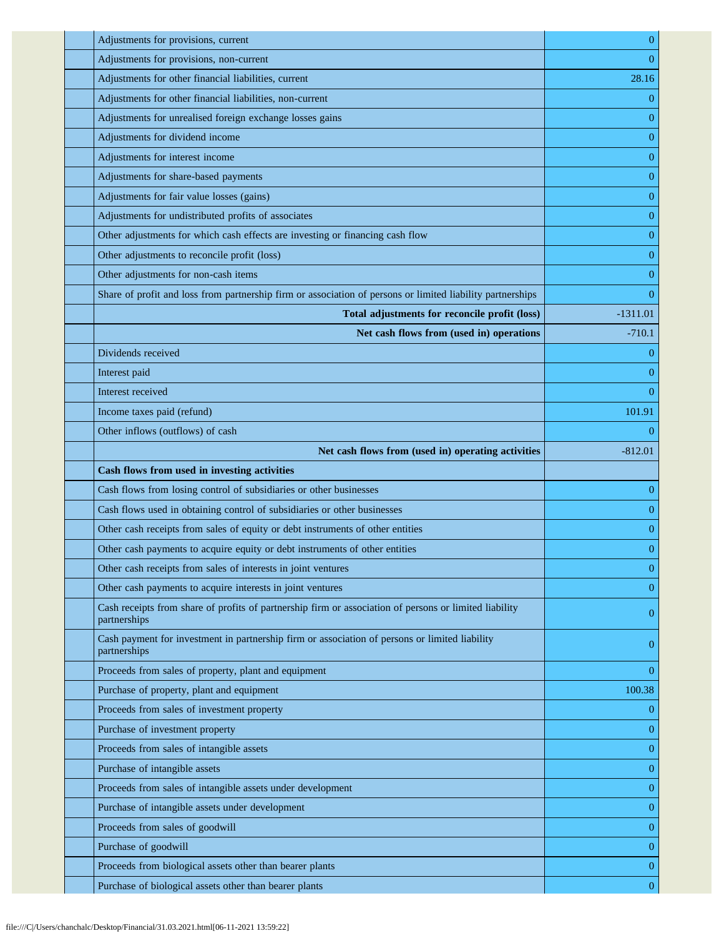| Adjustments for provisions, current                                                                                    | $\mathbf{0}$     |
|------------------------------------------------------------------------------------------------------------------------|------------------|
| Adjustments for provisions, non-current                                                                                | $\overline{0}$   |
| Adjustments for other financial liabilities, current                                                                   | 28.16            |
| Adjustments for other financial liabilities, non-current                                                               | $\theta$         |
| Adjustments for unrealised foreign exchange losses gains                                                               | $\overline{0}$   |
| Adjustments for dividend income                                                                                        | $\mathbf{0}$     |
| Adjustments for interest income                                                                                        | $\overline{0}$   |
| Adjustments for share-based payments                                                                                   | $\mathbf{0}$     |
| Adjustments for fair value losses (gains)                                                                              | $\mathbf{0}$     |
| Adjustments for undistributed profits of associates                                                                    | $\mathbf{0}$     |
| Other adjustments for which cash effects are investing or financing cash flow                                          | $\overline{0}$   |
| Other adjustments to reconcile profit (loss)                                                                           | $\mathbf{0}$     |
| Other adjustments for non-cash items                                                                                   | $\mathbf{0}$     |
| Share of profit and loss from partnership firm or association of persons or limited liability partnerships             | $\theta$         |
| Total adjustments for reconcile profit (loss)                                                                          | $-1311.01$       |
| Net cash flows from (used in) operations                                                                               | $-710.1$         |
| Dividends received                                                                                                     | 0                |
| Interest paid                                                                                                          | $\overline{0}$   |
| Interest received                                                                                                      | $\theta$         |
| Income taxes paid (refund)                                                                                             | 101.91           |
| Other inflows (outflows) of cash                                                                                       | 0                |
| Net cash flows from (used in) operating activities                                                                     | $-812.01$        |
| Cash flows from used in investing activities                                                                           |                  |
| Cash flows from losing control of subsidiaries or other businesses                                                     | $\overline{0}$   |
| Cash flows used in obtaining control of subsidiaries or other businesses                                               | $\mathbf{0}$     |
| Other cash receipts from sales of equity or debt instruments of other entities                                         | $\mathbf{0}$     |
| Other cash payments to acquire equity or debt instruments of other entities                                            | $\mathbf{0}$     |
| Other cash receipts from sales of interests in joint ventures                                                          | $\boldsymbol{0}$ |
| Other cash payments to acquire interests in joint ventures                                                             | $\theta$         |
| Cash receipts from share of profits of partnership firm or association of persons or limited liability<br>partnerships | $\mathbf{0}$     |
| Cash payment for investment in partnership firm or association of persons or limited liability<br>partnerships         | $\mathbf{0}$     |
| Proceeds from sales of property, plant and equipment                                                                   | $\theta$         |
| Purchase of property, plant and equipment                                                                              | 100.38           |
| Proceeds from sales of investment property                                                                             | $\mathbf{0}$     |
| Purchase of investment property                                                                                        | $\mathbf{0}$     |
| Proceeds from sales of intangible assets                                                                               | $\mathbf{0}$     |
| Purchase of intangible assets                                                                                          | $\mathbf{0}$     |
| Proceeds from sales of intangible assets under development                                                             | $\mathbf{0}$     |
| Purchase of intangible assets under development                                                                        | $\mathbf{0}$     |
| Proceeds from sales of goodwill                                                                                        | $\mathbf{0}$     |
| Purchase of goodwill                                                                                                   | $\boldsymbol{0}$ |
| Proceeds from biological assets other than bearer plants                                                               | $\mathbf{0}$     |
|                                                                                                                        |                  |